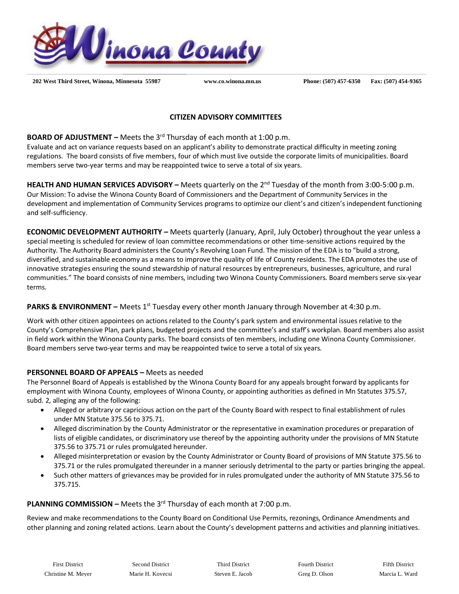

 **202 West Third Street, Winona, Minnesota 55987 www.co.winona.mn.us Phone: (507) 457-6350 Fax: (507) 454-9365**

## **CITIZEN ADVISORY COMMITTEES**

**BOARD OF ADJUSTMENT** – Meets the 3<sup>rd</sup> Thursday of each month at 1:00 p.m.

Evaluate and act on variance requests based on an applicant's ability to demonstrate practical difficulty in meeting zoning regulations. The board consists of five members, four of which must live outside the corporate limits of municipalities. Board members serve two-year terms and may be reappointed twice to serve a total of six years.

HEALTH AND HUMAN SERVICES ADVISORY – Meets quarterly on the 2<sup>nd</sup> Tuesday of the month from 3:00-5:00 p.m. Our Mission: To advise the Winona County Board of Commissioners and the Department of Community Services in the development and implementation of Community Services programs to optimize our client's and citizen's independent functioning and self-sufficiency.

**ECONOMIC DEVELOPMENT AUTHORITY –** Meets quarterly (January, April, July October) throughout the year unless a special meeting is scheduled for review of loan committee recommendations or other time-sensitive actions required by the Authority. The Authority Board administers the County's Revolving Loan Fund. The mission of the EDA is to "build a strong, diversified, and sustainable economy as a means to improve the quality of life of County residents. The EDA promotes the use of innovative strategies ensuring the sound stewardship of natural resources by entrepreneurs, businesses, agriculture, and rural communities." The board consists of nine members, including two Winona County Commissioners. Board members serve six-year terms.

# PARKS & ENVIRONMENT – Meets 1<sup>st</sup> Tuesday every other month January through November at 4:30 p.m.

Work with other citizen appointees on actions related to the County's park system and environmental issues relative to the County's Comprehensive Plan, park plans, budgeted projects and the committee's and staff's workplan. Board members also assist in field work within the Winona County parks. The board consists of ten members, including one Winona County Commissioner. Board members serve two-year terms and may be reappointed twice to serve a total of six years.

## **PERSONNEL BOARD OF APPEALS –** Meets as needed

The Personnel Board of Appeals is established by the Winona County Board for any appeals brought forward by applicants for employment with Winona County, employees of Winona County, or appointing authorities as defined in Mn Statutes 375.57, subd. 2, alleging any of the following:

- Alleged or arbitrary or capricious action on the part of the County Board with respect to final establishment of rules under MN Statute 375.56 to 375.71.
- Alleged discrimination by the County Administrator or the representative in examination procedures or preparation of lists of eligible candidates, or discriminatory use thereof by the appointing authority under the provisions of MN Statute 375.56 to 375.71 or rules promulgated hereunder.
- Alleged misinterpretation or evasion by the County Administrator or County Board of provisions of MN Statute 375.56 to 375.71 or the rules promulgated thereunder in a manner seriously detrimental to the party or parties bringing the appeal.
- Such other matters of grievances may be provided for in rules promulgated under the authority of MN Statute 375.56 to 375.715.

#### **PLANNING COMMISSION –** Meets the 3<sup>rd</sup> Thursday of each month at 7:00 p.m.

Review and make recommendations to the County Board on Conditional Use Permits, rezonings, Ordinance Amendments and other planning and zoning related actions. Learn about the County's development patterns and activities and planning initiatives.